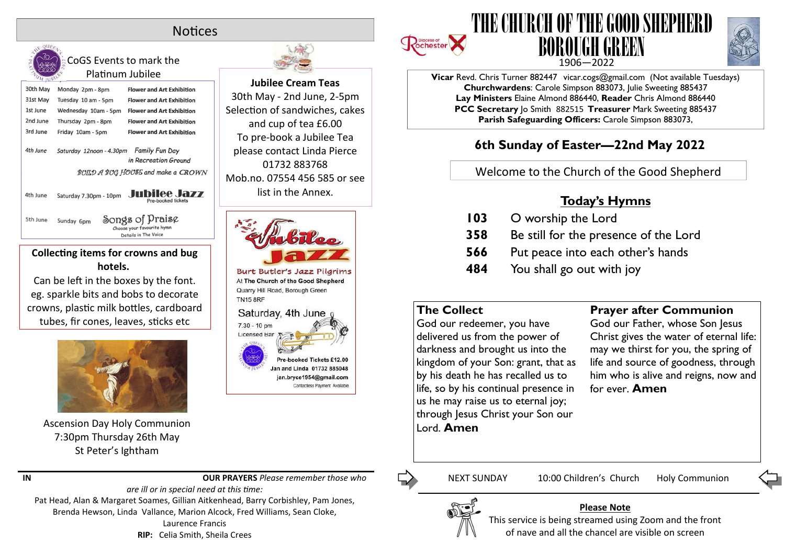# **Notices**



CoGS Events to mark the Platinum Jubilee

30th May Monday 2pm - 8pm **Flower and Art Exhibition** 31st May Tuesday 10 am - 5pm **Flower and Art Exhibition** 1st June Wednesday 10am - 5pm **Flower and Art Exhibition** 2nd June **Flower and Art Exhibition** Thursday 2pm - 8pm 3rd June Friday 10am - 5pm **Flower and Art Exhibition** 4th June Saturday 12noon - 4.30pm Family Fun Day in Recreation Ground BOILD A BOG HOOSE and make a CROWN Saturday 7.30pm - 10pm Jubilee Jazz 4th June

Songs of Praise 5th June Sunday 6pm Choose your favourite hymn Details in The Voice

#### **Collecting items for crowns and bug hotels.**

Can be left in the boxes by the font. eg. sparkle bits and bobs to decorate crowns, plastic milk bottles, cardboard tubes, fir cones, leaves, sticks etc



Ascension Day Holy Communion 7:30pm Thursday 26th May St Peter's Ightham



30th May - 2nd June, 2-5pm Selection of sandwiches, cakes and cup of tea £6.00 To pre-book a Jubilee Tea please contact Linda Pierce 01732 883768 Mob.no. 07554 456 585 or see list in the Annex.



Burt Butler's Jazz Pilgrims At The Church of the Good Shepherd Quarry Hill Road, Borough Green **TN15 8RF** 



**Jubilee Cream Teas**



delivered us from the power of darkness and brought us into the kingdom of your Son: grant, that as by his death he has recalled us to life, so by his continual presence in us he may raise us to eternal joy; through Jesus Christ your Son our Lord. **Amen**

**Prayer after Communion**

God our Father, whose Son Jesus Christ gives the water of eternal life: may we thirst for you, the spring of life and source of goodness, through him who is alive and reigns, now and for ever. **Amen**

**IN OUR PRAYERS** *Please remember those who* 

*are ill or in special need at this me:* Pat Head, Alan & Margaret Soames, Gillian Aitkenhead, Barry Corbishley, Pam Jones, Brenda Hewson, Linda Vallance, Marion Alcock, Fred Williams, Sean Cloke, Laurence Francis **RIP:** Celia Smith, Sheila Crees







**Vicar** Revd. Chris Turner 882447 vicar.cogs@gmail.com (Not available Tuesdays) **Churchwardens**: Carole Simpson 883073, Julie Sweeting 885437 **Lay Ministers** Elaine Almond 886440, **Reader** Chris Almond 886440 **PCC Secretary** Jo Smith 882515 **Treasurer** Mark Sweeting 885437 **Parish Safeguarding Officers:** Carole Simpson 883073,

# **6th Sunday of Easter—22nd May 2022**

Welcome to the Church of the Good Shepherd

## **Today's Hymns**

| 103 | O worship the Lord                    |
|-----|---------------------------------------|
| 358 | Be still for the presence of the Lord |
| 566 | Put peace into each other's hands     |
| 484 | You shall go out with joy             |

**Please Note**

NEXT SUNDAY 10:00 Children's Church Holy Communion

This service is being streamed using Zoom and the front of nave and all the chancel are visible on screen